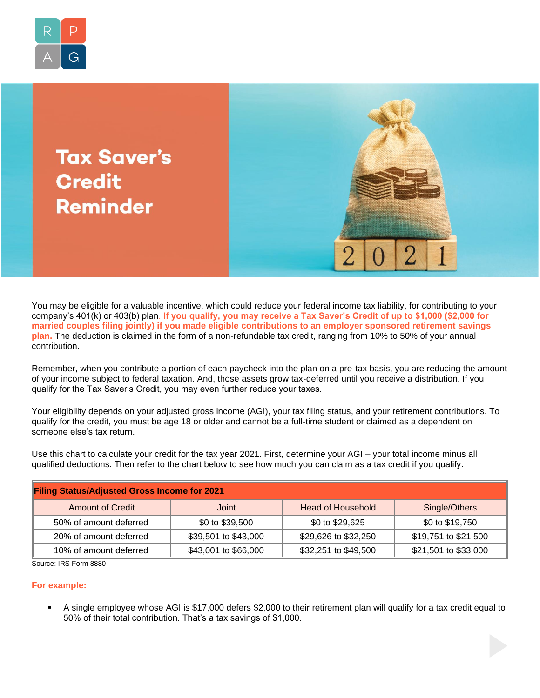

**Tax Saver's Credit Reminder** 



You may be eligible for a valuable incentive, which could reduce your federal income tax liability, for contributing to your company's 401(k) or 403(b) plan. **If you qualify, you may receive a Tax Saver's Credit of up to \$1,000 (\$2,000 for married couples filing jointly) if you made eligible contributions to an employer sponsored retirement savings plan.** The deduction is claimed in the form of a non-refundable tax credit, ranging from 10% to 50% of your annual contribution.

Remember, when you contribute a portion of each paycheck into the plan on a pre-tax basis, you are reducing the amount of your income subject to federal taxation. And, those assets grow tax-deferred until you receive a distribution. If you qualify for the Tax Saver's Credit, you may even further reduce your taxes.

Your eligibility depends on your adjusted gross income (AGI), your tax filing status, and your retirement contributions. To qualify for the credit, you must be age 18 or older and cannot be a full-time student or claimed as a dependent on someone else's tax return.

Use this chart to calculate your credit for the tax year 2021. First, determine your AGI – your total income minus all qualified deductions. Then refer to the chart below to see how much you can claim as a tax credit if you qualify.

| <b>Filing Status/Adjusted Gross Income for 2021</b> |                      |                          |                      |
|-----------------------------------------------------|----------------------|--------------------------|----------------------|
| <b>Amount of Credit</b>                             | Joint                | <b>Head of Household</b> | Single/Others        |
| 50% of amount deferred                              | \$0 to \$39,500      | \$0 to \$29,625          | \$0 to \$19,750      |
| 20% of amount deferred                              | \$39,501 to \$43,000 | \$29,626 to \$32,250     | \$19,751 to \$21,500 |
| 10% of amount deferred                              | \$43,001 to \$66,000 | \$32,251 to \$49,500     | \$21,501 to \$33,000 |

Source: IRS Form 8880

## **For example:**

A single employee whose AGI is \$17,000 defers \$2,000 to their retirement plan will qualify for a tax credit equal to 50% of their total contribution. That's a tax savings of \$1,000.